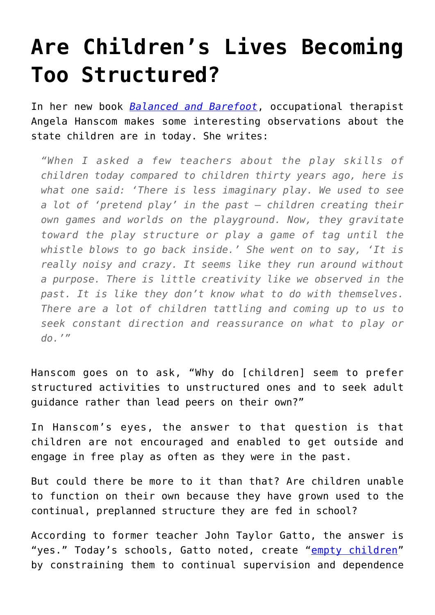## **[Are Children's Lives Becoming](https://intellectualtakeout.org/2016/07/are-childrens-lives-becoming-too-structured/) [Too Structured?](https://intellectualtakeout.org/2016/07/are-childrens-lives-becoming-too-structured/)**

In her new book *[Balanced and Barefoot](https://www.amazon.com/gp/product/1626253730/ref=as_li_qf_sp_asin_il_tl?ie=UTF8&tag=intelltakeo0d-20&camp=1789&creative=9325&linkCode=as2&creativeASIN=1626253730&linkId=c3b2b695b75051909b3bef78f2335cfc)*, occupational therapist Angela Hanscom makes some interesting observations about the state children are in today. She writes:

*"When I asked a few teachers about the play skills of children today compared to children thirty years ago, here is what one said: 'There is less imaginary play. We used to see a lot of 'pretend play' in the past – children creating their own games and worlds on the playground. Now, they gravitate toward the play structure or play a game of tag until the whistle blows to go back inside.' She went on to say, 'It is really noisy and crazy. It seems like they run around without a purpose. There is little creativity like we observed in the past. It is like they don't know what to do with themselves. There are a lot of children tattling and coming up to us to seek constant direction and reassurance on what to play or do.'"*

Hanscom goes on to ask, "Why do [children] seem to prefer structured activities to unstructured ones and to seek adult guidance rather than lead peers on their own?"

In Hanscom's eyes, the answer to that question is that children are not encouraged and enabled to get outside and engage in free play as often as they were in the past.

But could there be more to it than that? Are children unable to function on their own because they have grown used to the continual, preplanned structure they are fed in school?

According to former teacher John Taylor Gatto, the answer is "yes." Today's schools, Gatto noted, create "[empty children"](https://www.intellectualtakeout.org/blog/former-teacher-7-ways-schools-are-creating-empty-children) by constraining them to continual supervision and dependence